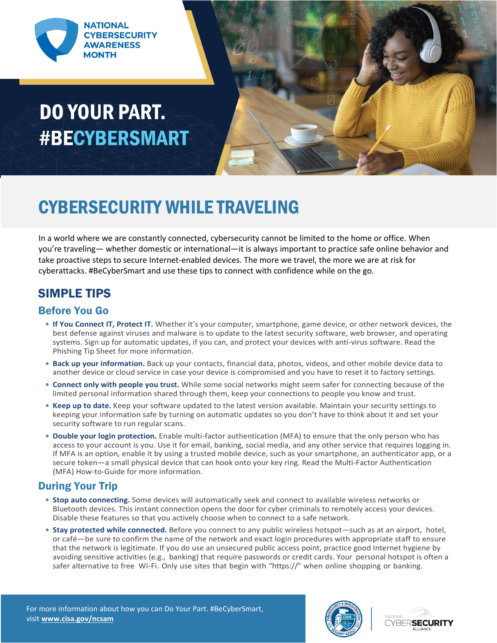

## **DO YOUR PART. #BECYBERSMART**



### CYBERSECURITY WHILE TRAVELING

In a world where we are constantly connected, cybersecurity cannot be limited to the home or office. When you're traveling— whether domestic or international—it is always important to practice safe online behavior and take proactive steps to secure Internet-enabled devices. The more we travel, the more we are at risk for cyberattacks. #BeCyberSmart and use these tips to connect with confidence while on the go.

### SIMPLE TIPS

#### Before You Go

- **• If You Connect IT, Protect IT.** Whether it's your computer, smartphone, game device, or other network devices, the best defense against viruses and malware is to update to the latest security software, web browser, and operating systems. Sign up for automatic updates, if you can, and protect your devices with anti-virus software. Read the Phishing Tip Sheet for more information.
- **• Back up your information.** Back up your contacts, financial data, photos, videos, and other mobile device data to another device or cloud service in case your device is compromised and you have to reset it to factory settings.
- **• Connect only with people you trust.** While some social networks might seem safer for connecting because of the limited personal information shared through them, keep your connections to people you know and trust.
- **• Keep up to date.** Keep your software updated to the latest version available. Maintain your security settings to keeping your information safe by turning on automatic updates so you don't have to think about it and set your security software to run regular scans.
- **• Double your login protection.** Enable multi-factor authentication (MFA) to ensure that the only person who has access to your account is you. Use it for email, banking, social media, and any other service that requires logging in. If MFA is an option, enable it by using a trusted mobile device, such as your smartphone, an authenticator app, or a secure token—a small physical device that can hook onto your key ring. Read the Multi-Factor Authentication (MFA) How-to-Guide for more information.

#### During Your Trip

- **• Stop auto connecting.** Some devices will automatically seek and connect to available wireless networks or Bluetooth devices. This instant connection opens the door for cyber criminals to remotely access your devices. Disable these features so that you actively choose when to connect to a safe network.
- **• Stay protected while connected.** Before you connect to any public wireless hotspot—such as at an airport, hotel, or café—be sure to confirm the name of the network and exact login procedures with appropriate staff to ensure that the network is legitimate. If you do use an unsecured public access point, practice good Internet hygiene by avoiding sensitive activities (e.g., banking) that require passwords or credit cards. Your personal hotspot is often a safer alternative to free Wi-Fi. Only use sites that begin with "https://" when online shopping or banking.